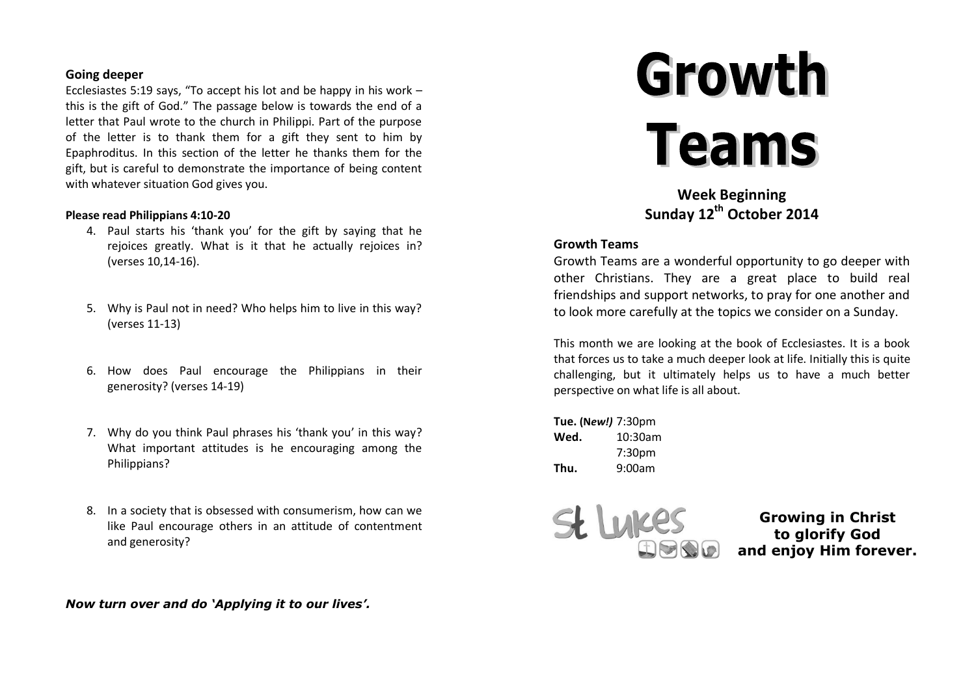### **Going deeper**

Ecclesiastes 5:19 says, "To accept his lot and be happy in his work – this is the gift of God." The passage below is towards the end of a letter that Paul wrote to the church in Philippi. Part of the purpose of the letter is to thank them for a gift they sent to him by Epaphroditus. In this section of the letter he thanks them for the gift, but is careful to demonstrate the importance of being content with whatever situation God gives you.

#### **Please read Philippians 4:10-20**

- 4. Paul starts his 'thank you' for the gift by saying that he rejoices greatly. What is it that he actually rejoices in? (verses 10,14-16).
- 5. Why is Paul not in need? Who helps him to live in this way? (verses 11-13)
- 6. How does Paul encourage the Philippians in their generosity? (verses 14-19)
- 7. Why do you think Paul phrases his 'thank you' in this way? What important attitudes is he encouraging among the Philippians?
- 8. In a society that is obsessed with consumerism, how can we like Paul encourage others in an attitude of contentment and generosity?

*Now turn over and do 'Applying it to our lives'.*

# Growth **Teams**

**Week Beginning Sunday 12th October 2014**

#### **Growth Teams**

Growth Teams are a wonderful opportunity to go deeper with other Christians. They are a great place to build real friendships and support networks, to pray for one another and to look more carefully at the topics we consider on a Sunday.

This month we are looking at the book of Ecclesiastes. It is a book that forces us to take a much deeper look at life. Initially this is quite challenging, but it ultimately helps us to have a much better perspective on what life is all about.

**Tue. (N***ew!)* 7:30pm **Wed.** 10:30am 7:30pm **Thu.** 9:00am



**Growing in Christ to glorify God and enjoy Him forever.**